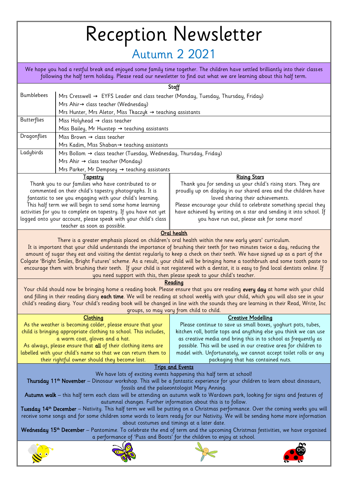## Reception Newsletter

## Autumn 2 2021

We hope you had a restful break and enjoyed some family time together. The children have settled brilliantly into their classes following the half term holiday. Please read our newsletter to find out what we are learning about this half term.

|                                                                                                                                                                                                                                                                   | Staff                                                                                                                    |                                                                                                                                    |  |  |
|-------------------------------------------------------------------------------------------------------------------------------------------------------------------------------------------------------------------------------------------------------------------|--------------------------------------------------------------------------------------------------------------------------|------------------------------------------------------------------------------------------------------------------------------------|--|--|
| <b>Bumblebees</b>                                                                                                                                                                                                                                                 |                                                                                                                          |                                                                                                                                    |  |  |
|                                                                                                                                                                                                                                                                   | Mrs Cresswell → EYFS Leader and class teacher (Monday, Tuesday, Thursday, Friday)                                        |                                                                                                                                    |  |  |
|                                                                                                                                                                                                                                                                   | Mrs Ahir→ class teacher (Wednesday)                                                                                      |                                                                                                                                    |  |  |
|                                                                                                                                                                                                                                                                   | Mrs Hunter, Mrs Aletor, Miss Tkaczyk → teaching assistants                                                               |                                                                                                                                    |  |  |
| <b>Butterflies</b>                                                                                                                                                                                                                                                | Miss Holyhead $\rightarrow$ class teacher                                                                                |                                                                                                                                    |  |  |
|                                                                                                                                                                                                                                                                   | Miss Bailey, Mr Huxstep → teaching assistants                                                                            |                                                                                                                                    |  |  |
| Dragonflies                                                                                                                                                                                                                                                       | Miss Brown $\rightarrow$ class teacher                                                                                   |                                                                                                                                    |  |  |
|                                                                                                                                                                                                                                                                   | Mrs Kadim, Miss Shaban→ teaching assistants                                                                              |                                                                                                                                    |  |  |
| Ladybirds                                                                                                                                                                                                                                                         | Mrs Bollom → class teacher (Tuesday, Wednesday, Thursday, Friday)                                                        |                                                                                                                                    |  |  |
|                                                                                                                                                                                                                                                                   | Mrs Ahir $\rightarrow$ class teacher (Monday)                                                                            |                                                                                                                                    |  |  |
|                                                                                                                                                                                                                                                                   | Mrs Parker, Mr Dempsey $\rightarrow$ teaching assistants                                                                 |                                                                                                                                    |  |  |
|                                                                                                                                                                                                                                                                   | <b>Tapestry</b>                                                                                                          | <b>Rising Stars</b>                                                                                                                |  |  |
|                                                                                                                                                                                                                                                                   | Thank you to our families who have contributed to or                                                                     | Thank you for sending us your child's rising stars. They are                                                                       |  |  |
|                                                                                                                                                                                                                                                                   | commented on their child's tapestry photographs. It is<br>proudly up on display in our shared area and the children have |                                                                                                                                    |  |  |
|                                                                                                                                                                                                                                                                   | fantastic to see you engaging with your child's learning.                                                                | loved sharing their achievements.                                                                                                  |  |  |
| This half term we will begin to send some home learning<br>Please encourage your child to celebrate something special they                                                                                                                                        |                                                                                                                          |                                                                                                                                    |  |  |
|                                                                                                                                                                                                                                                                   | activities for you to complete on tapestry. If you have not yet                                                          | have achieved by writing on a star and sending it into school. If                                                                  |  |  |
|                                                                                                                                                                                                                                                                   | logged onto your account, please speak with your child's class                                                           | you have run out, please ask for some more!                                                                                        |  |  |
|                                                                                                                                                                                                                                                                   | teacher as soon as possible.                                                                                             |                                                                                                                                    |  |  |
| Oral health                                                                                                                                                                                                                                                       |                                                                                                                          |                                                                                                                                    |  |  |
|                                                                                                                                                                                                                                                                   |                                                                                                                          | There is a greater emphasis placed on children's oral health within the new early years' curriculum.                               |  |  |
| It is important that your child understands the importance of brushing their teeth for two minutes twice a day, reducing the                                                                                                                                      |                                                                                                                          |                                                                                                                                    |  |  |
|                                                                                                                                                                                                                                                                   |                                                                                                                          | amount of sugar they eat and visiting the dentist regularly to keep a check on their teeth. We have signed up as a part of the     |  |  |
|                                                                                                                                                                                                                                                                   |                                                                                                                          | Colgate 'Bright Smiles, Bright Futures' scheme. As a result, your child will be bringing home a toothbrush and some tooth paste to |  |  |
| encourage them with brushing their teeth. If your child is not registered with a dentist, it is easy to find local dentists online. If                                                                                                                            |                                                                                                                          |                                                                                                                                    |  |  |
| you need support with this, then please speak to your child's teacher.<br>Reading                                                                                                                                                                                 |                                                                                                                          |                                                                                                                                    |  |  |
|                                                                                                                                                                                                                                                                   |                                                                                                                          |                                                                                                                                    |  |  |
| Your child should now be bringing home a reading book. Please ensure that you are reading every day at home with your child<br>and filling in their reading diary each time. We will be reading at school weekly with your child, which you will also see in your |                                                                                                                          |                                                                                                                                    |  |  |
|                                                                                                                                                                                                                                                                   |                                                                                                                          |                                                                                                                                    |  |  |
| child's reading diary. Your child's reading book will be changed in line with the sounds they are learning in their Read, Write, Inc<br>groups, so may vary from child to child.                                                                                  |                                                                                                                          |                                                                                                                                    |  |  |
|                                                                                                                                                                                                                                                                   | Clothing                                                                                                                 | <b>Creative Modelling</b>                                                                                                          |  |  |
|                                                                                                                                                                                                                                                                   | As the weather is becoming colder, please ensure that your                                                               | Please continue to save us small boxes, yoghurt pots, tubes,                                                                       |  |  |
|                                                                                                                                                                                                                                                                   | child is bringing appropriate clothing to school. This includes,                                                         | kitchen roll, bottle tops and anything else you think we can use                                                                   |  |  |
|                                                                                                                                                                                                                                                                   | a warm coat, gloves and a hat.                                                                                           | as creative media and bring this in to school as frequently as                                                                     |  |  |
|                                                                                                                                                                                                                                                                   | As always, please ensure that all of their clothing items are                                                            | possible. This will be used in our creative area for children to                                                                   |  |  |
|                                                                                                                                                                                                                                                                   | labelled with your child's name so that we can return them to                                                            | model with. Unfortunately, we cannot accept toilet rolls or any                                                                    |  |  |
|                                                                                                                                                                                                                                                                   | their rightful owner should they become lost.                                                                            | packaging that has contained nuts.                                                                                                 |  |  |
| <b>Trips and Events</b>                                                                                                                                                                                                                                           |                                                                                                                          |                                                                                                                                    |  |  |
| We have lots of exciting events happening this half term at school!                                                                                                                                                                                               |                                                                                                                          |                                                                                                                                    |  |  |
| Thursday 11 <sup>th</sup> November – Dinosaur workshop. This will be a fantastic experience for your children to learn about dinosaurs,                                                                                                                           |                                                                                                                          |                                                                                                                                    |  |  |
| fossils and the palaeontologist Mary Anning.                                                                                                                                                                                                                      |                                                                                                                          |                                                                                                                                    |  |  |
| Autumn walk - this half term each class will be attending an autumn walk to Wardown park, looking for signs and features of<br>autumnal changes. Further information about this is to follow.                                                                     |                                                                                                                          |                                                                                                                                    |  |  |
| Tuesday 14th December – Nativity. This half term we will be putting on a Christmas performance. Over the coming weeks you will                                                                                                                                    |                                                                                                                          |                                                                                                                                    |  |  |
| receive some songs and for some children some words to learn ready for our Nativity. We will be sending home more information                                                                                                                                     |                                                                                                                          |                                                                                                                                    |  |  |
| about costumes and timings at a later date.                                                                                                                                                                                                                       |                                                                                                                          |                                                                                                                                    |  |  |
| Wednesday 15 <sup>th</sup> December – Pantomime. To celebrate the end of term and the upcoming Christmas festivities, we have organised                                                                                                                           |                                                                                                                          |                                                                                                                                    |  |  |
| a performance of 'Puss and Boots' for the children to enjoy at school.                                                                                                                                                                                            |                                                                                                                          |                                                                                                                                    |  |  |
|                                                                                                                                                                                                                                                                   |                                                                                                                          |                                                                                                                                    |  |  |
|                                                                                                                                                                                                                                                                   |                                                                                                                          |                                                                                                                                    |  |  |
|                                                                                                                                                                                                                                                                   |                                                                                                                          |                                                                                                                                    |  |  |
|                                                                                                                                                                                                                                                                   |                                                                                                                          |                                                                                                                                    |  |  |